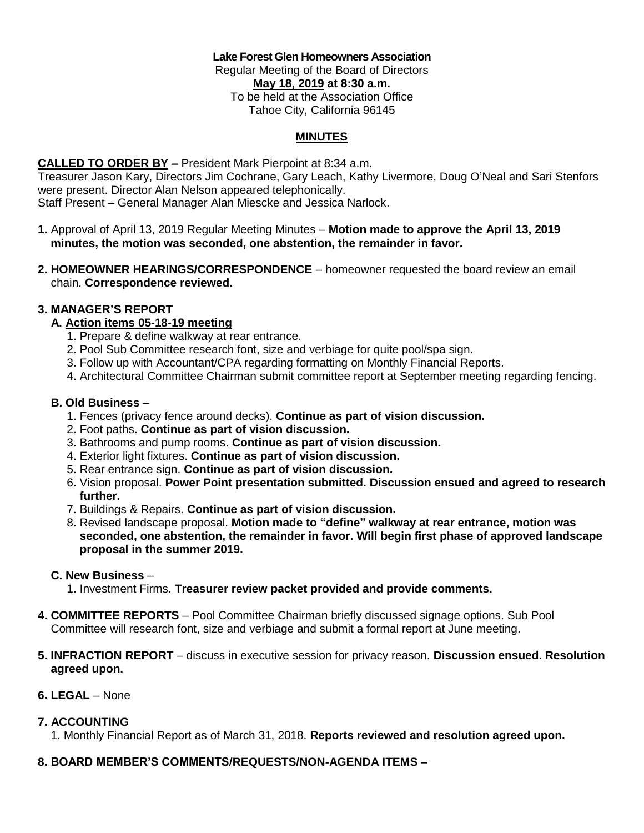#### **Lake Forest Glen Homeowners Association** Regular Meeting of the Board of Directors **May 18, 2019 at 8:30 a.m.** To be held at the Association Office Tahoe City, California 96145

### **MINUTES**

## **CALLED TO ORDER BY –** President Mark Pierpoint at 8:34 a.m.

Treasurer Jason Kary, Directors Jim Cochrane, Gary Leach, Kathy Livermore, Doug O'Neal and Sari Stenfors were present. Director Alan Nelson appeared telephonically. Staff Present – General Manager Alan Miescke and Jessica Narlock.

- **1.** Approval of April 13, 2019 Regular Meeting Minutes **Motion made to approve the April 13, 2019 minutes, the motion was seconded, one abstention, the remainder in favor.**
- **2. HOMEOWNER HEARINGS/CORRESPONDENCE** homeowner requested the board review an email chain. **Correspondence reviewed.**

#### **3. MANAGER'S REPORT**

#### **A. Action items 05-18-19 meeting**

- 1. Prepare & define walkway at rear entrance.
- 2. Pool Sub Committee research font, size and verbiage for quite pool/spa sign.
- 3. Follow up with Accountant/CPA regarding formatting on Monthly Financial Reports.
- 4. Architectural Committee Chairman submit committee report at September meeting regarding fencing.

#### **B. Old Business** –

- 1. Fences (privacy fence around decks). **Continue as part of vision discussion.**
- 2. Foot paths. **Continue as part of vision discussion.**
- 3. Bathrooms and pump rooms. **Continue as part of vision discussion.**
- 4. Exterior light fixtures. **Continue as part of vision discussion.**
- 5. Rear entrance sign. **Continue as part of vision discussion.**
- 6. Vision proposal. **Power Point presentation submitted. Discussion ensued and agreed to research further.**
- 7. Buildings & Repairs. **Continue as part of vision discussion.**
- 8. Revised landscape proposal. **Motion made to "define" walkway at rear entrance, motion was seconded, one abstention, the remainder in favor. Will begin first phase of approved landscape proposal in the summer 2019.**

#### **C. New Business** –

1. Investment Firms. **Treasurer review packet provided and provide comments.**

- **4. COMMITTEE REPORTS**  Pool Committee Chairman briefly discussed signage options. Sub Pool Committee will research font, size and verbiage and submit a formal report at June meeting.
- **5. INFRACTION REPORT**  discuss in executive session for privacy reason. **Discussion ensued. Resolution agreed upon.**

## **6. LEGAL** – None

## **7. ACCOUNTING**

1. Monthly Financial Report as of March 31, 2018. **Reports reviewed and resolution agreed upon.**

## **8. BOARD MEMBER'S COMMENTS/REQUESTS/NON-AGENDA ITEMS –**